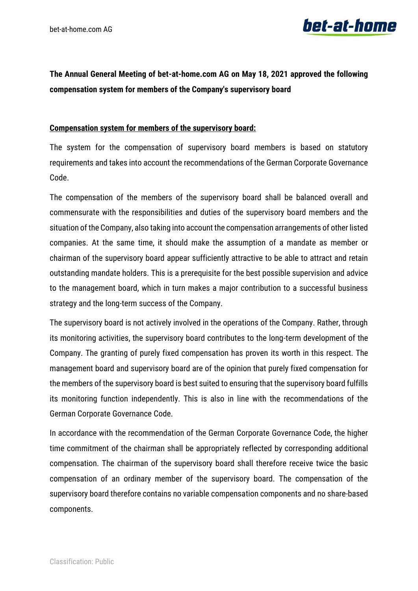

## **The Annual General Meeting of bet-at-home.com AG on May 18, 2021 approved the following compensation system for members of the Company's supervisory board**

## **Compensation system for members of the supervisory board:**

The system for the compensation of supervisory board members is based on statutory requirements and takes into account the recommendations of the German Corporate Governance Code.

The compensation of the members of the supervisory board shall be balanced overall and commensurate with the responsibilities and duties of the supervisory board members and the situation of the Company, also taking into account the compensation arrangements of other listed companies. At the same time, it should make the assumption of a mandate as member or chairman of the supervisory board appear sufficiently attractive to be able to attract and retain outstanding mandate holders. This is a prerequisite for the best possible supervision and advice to the management board, which in turn makes a major contribution to a successful business strategy and the long-term success of the Company.

The supervisory board is not actively involved in the operations of the Company. Rather, through its monitoring activities, the supervisory board contributes to the long-term development of the Company. The granting of purely fixed compensation has proven its worth in this respect. The management board and supervisory board are of the opinion that purely fixed compensation for the members of the supervisory board is best suited to ensuring that the supervisory board fulfills its monitoring function independently. This is also in line with the recommendations of the German Corporate Governance Code.

In accordance with the recommendation of the German Corporate Governance Code, the higher time commitment of the chairman shall be appropriately reflected by corresponding additional compensation. The chairman of the supervisory board shall therefore receive twice the basic compensation of an ordinary member of the supervisory board. The compensation of the supervisory board therefore contains no variable compensation components and no share-based components.